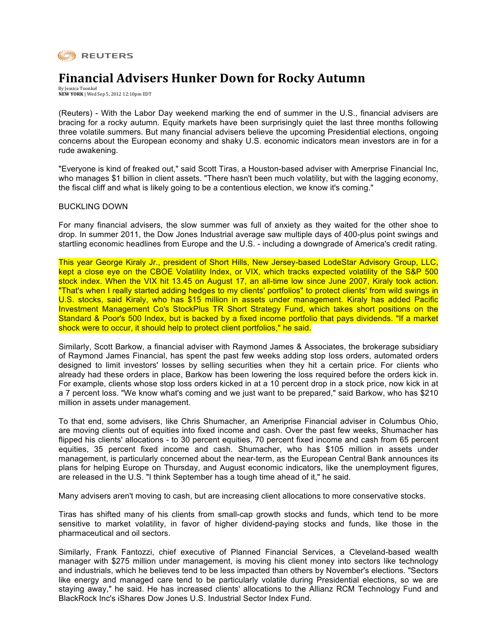

## **Financial Advisers Hunker Down for Rocky Autumn**

By Jessica Toonkel **NEW YORK** | Wed Sep 5, 2012 12:10pm EDT

(Reuters) - With the Labor Day weekend marking the end of summer in the U.S., financial advisers are bracing for a rocky autumn. Equity markets have been surprisingly quiet the last three months following three volatile summers. But many financial advisers believe the upcoming Presidential elections, ongoing concerns about the European economy and shaky U.S. economic indicators mean investors are in for a rude awakening.

"Everyone is kind of freaked out," said Scott Tiras, a Houston-based adviser with Amerprise Financial Inc, who manages \$1 billion in client assets. "There hasn't been much volatility, but with the lagging economy, the fiscal cliff and what is likely going to be a contentious election, we know it's coming."

## BUCKLING DOWN

For many financial advisers, the slow summer was full of anxiety as they waited for the other shoe to drop. In summer 2011, the Dow Jones Industrial average saw multiple days of 400-plus point swings and startling economic headlines from Europe and the U.S. - including a downgrade of America's credit rating.

This year George Kiraly Jr., president of Short Hills, New Jersey-based LodeStar Advisory Group, LLC, kept a close eye on the CBOE Volatility Index, or VIX, which tracks expected volatility of the S&P 500 stock index. When the VIX hit 13.45 on August 17, an all-time low since June 2007, Kiraly took action. "That's when I really started adding hedges to my clients' portfolios" to protect clients' from wild swings in U.S. stocks, said Kiraly, who has \$15 million in assets under management. Kiraly has added Pacific Investment Management Co's StockPlus TR Short Strategy Fund, which takes short positions on the Standard & Poor's 500 Index, but is backed by a fixed income portfolio that pays dividends. "If a market shock were to occur, it should help to protect client portfolios," he said.

Similarly, Scott Barkow, a financial adviser with Raymond James & Associates, the brokerage subsidiary of Raymond James Financial, has spent the past few weeks adding stop loss orders, automated orders designed to limit investors' losses by selling securities when they hit a certain price. For clients who already had these orders in place, Barkow has been lowering the loss required before the orders kick in. For example, clients whose stop loss orders kicked in at a 10 percent drop in a stock price, now kick in at a 7 percent loss. "We know what's coming and we just want to be prepared," said Barkow, who has \$210 million in assets under management.

To that end, some advisers, like Chris Shumacher, an Ameriprise Financial adviser in Columbus Ohio, are moving clients out of equities into fixed income and cash. Over the past few weeks, Shumacher has flipped his clients' allocations - to 30 percent equities, 70 percent fixed income and cash from 65 percent equities, 35 percent fixed income and cash. Shumacher, who has \$105 million in assets under management, is particularly concerned about the near-term, as the European Central Bank announces its plans for helping Europe on Thursday, and August economic indicators, like the unemployment figures, are released in the U.S. "I think September has a tough time ahead of it," he said.

Many advisers aren't moving to cash, but are increasing client allocations to more conservative stocks.

Tiras has shifted many of his clients from small-cap growth stocks and funds, which tend to be more sensitive to market volatility, in favor of higher dividend-paying stocks and funds, like those in the pharmaceutical and oil sectors.

Similarly, Frank Fantozzi, chief executive of Planned Financial Services, a Cleveland-based wealth manager with \$275 million under management, is moving his client money into sectors like technology and industrials, which he believes tend to be less impacted than others by November's elections. "Sectors like energy and managed care tend to be particularly volatile during Presidential elections, so we are staying away," he said. He has increased clients' allocations to the Allianz RCM Technology Fund and BlackRock Inc's iShares Dow Jones U.S. Industrial Sector Index Fund.